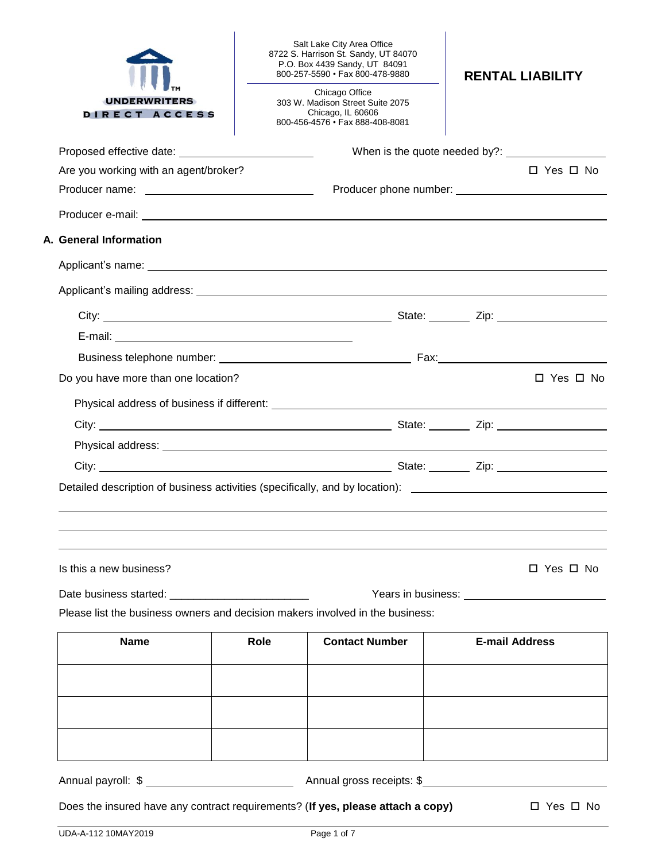| <b>UNDERWRITERS</b><br>DIRECT ACCESS                                            |      | Salt Lake City Area Office<br>8722 S. Harrison St. Sandy, UT 84070<br>P.O. Box 4439 Sandy, UT 84091<br>800-257-5590 · Fax 800-478-9880<br>Chicago Office<br>303 W. Madison Street Suite 2075<br>Chicago, IL 60606<br>800-456-4576 • Fax 888-408-8081 | <b>RENTAL LIABILITY</b>                                                                                        |
|---------------------------------------------------------------------------------|------|------------------------------------------------------------------------------------------------------------------------------------------------------------------------------------------------------------------------------------------------------|----------------------------------------------------------------------------------------------------------------|
|                                                                                 |      |                                                                                                                                                                                                                                                      |                                                                                                                |
| Are you working with an agent/broker?                                           |      |                                                                                                                                                                                                                                                      | $\Box$ Yes $\Box$ No                                                                                           |
|                                                                                 |      |                                                                                                                                                                                                                                                      |                                                                                                                |
|                                                                                 |      |                                                                                                                                                                                                                                                      |                                                                                                                |
| A. General Information                                                          |      |                                                                                                                                                                                                                                                      |                                                                                                                |
|                                                                                 |      |                                                                                                                                                                                                                                                      |                                                                                                                |
|                                                                                 |      |                                                                                                                                                                                                                                                      |                                                                                                                |
|                                                                                 |      |                                                                                                                                                                                                                                                      |                                                                                                                |
|                                                                                 |      |                                                                                                                                                                                                                                                      |                                                                                                                |
|                                                                                 |      |                                                                                                                                                                                                                                                      |                                                                                                                |
| Do you have more than one location?                                             |      |                                                                                                                                                                                                                                                      | $\Box$ Yes $\Box$ No                                                                                           |
|                                                                                 |      |                                                                                                                                                                                                                                                      |                                                                                                                |
|                                                                                 |      |                                                                                                                                                                                                                                                      |                                                                                                                |
|                                                                                 |      |                                                                                                                                                                                                                                                      |                                                                                                                |
|                                                                                 |      |                                                                                                                                                                                                                                                      |                                                                                                                |
|                                                                                 |      |                                                                                                                                                                                                                                                      | Detailed description of business activities (specifically, and by location): _________________________________ |
| Is this a new business?                                                         |      |                                                                                                                                                                                                                                                      | □ Yes □ No                                                                                                     |
| Please list the business owners and decision makers involved in the business:   |      |                                                                                                                                                                                                                                                      |                                                                                                                |
| <b>Name</b>                                                                     | Role | <b>Contact Number</b>                                                                                                                                                                                                                                | <b>E-mail Address</b>                                                                                          |
|                                                                                 |      |                                                                                                                                                                                                                                                      |                                                                                                                |
|                                                                                 |      |                                                                                                                                                                                                                                                      |                                                                                                                |
|                                                                                 |      |                                                                                                                                                                                                                                                      |                                                                                                                |
|                                                                                 |      |                                                                                                                                                                                                                                                      |                                                                                                                |
| Does the insured have any contract requirements? (If yes, please attach a copy) |      |                                                                                                                                                                                                                                                      | $\Box$ Yes $\Box$ No                                                                                           |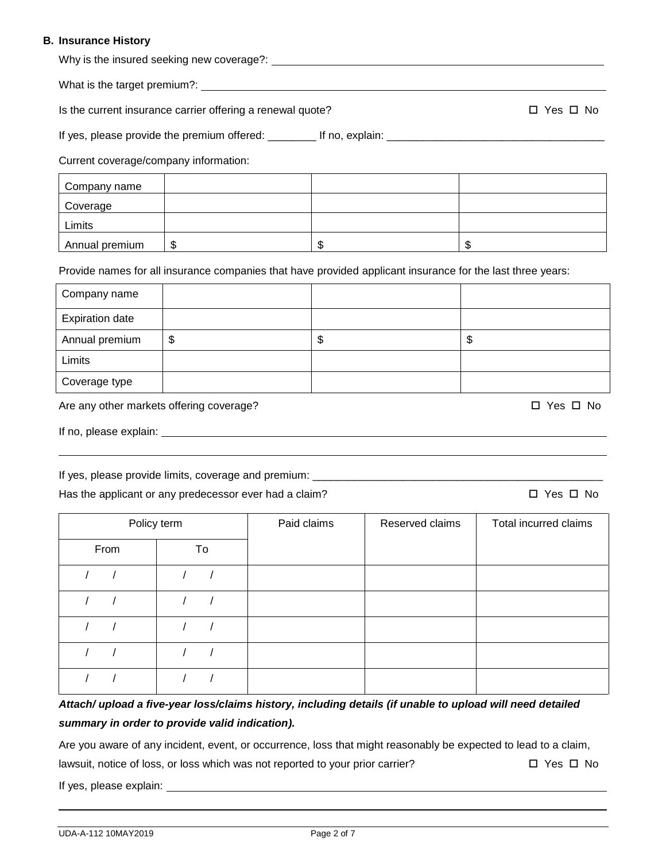#### **B. Insurance History**

| Why is the insured seeking new coverage?: |  |
|-------------------------------------------|--|
|                                           |  |

What is the target premium?:

Is the current insurance carrier offering a renewal quote?  $\square$  Yes  $\square$  No

If yes, please provide the premium offered: \_\_\_\_\_\_\_\_ If no, explain: \_\_\_\_\_\_\_\_\_\_\_\_\_\_\_\_\_\_\_\_\_\_\_\_\_\_\_\_\_\_\_\_\_\_\_\_

Current coverage/company information:

| Company name   |     |   |         |
|----------------|-----|---|---------|
| Coverage       |     |   |         |
| Limits         |     |   |         |
| Annual premium | -\$ | w | æ<br>۰D |

Provide names for all insurance companies that have provided applicant insurance for the last three years:

| Company name           |         |    |
|------------------------|---------|----|
| <b>Expiration date</b> |         |    |
| Annual premium         | \$<br>จ | \$ |
| Limits                 |         |    |
| Coverage type          |         |    |

Are any other markets offering coverage? 
<br>
Are any other markets offering coverage?

If no, please explain:

If yes, please provide limits, coverage and premium: \_\_\_\_\_\_\_\_\_\_\_\_\_\_\_\_\_\_\_\_\_\_\_\_\_\_\_

Has the applicant or any predecessor ever had a claim?  $\square$  Yes  $\square$  No

Policy term **Paid claims** Reserved claims Total incurred claims From To / / / / / / / / / / / / / / / / / / / /

*Attach/ upload a five-year loss/claims history, including details (if unable to upload will need detailed summary in order to provide valid indication).*

Are you aware of any incident, event, or occurrence, loss that might reasonably be expected to lead to a claim,

lawsuit, notice of loss, or loss which was not reported to your prior carrier?  $\square$  Yes  $\square$  No

If yes, please explain: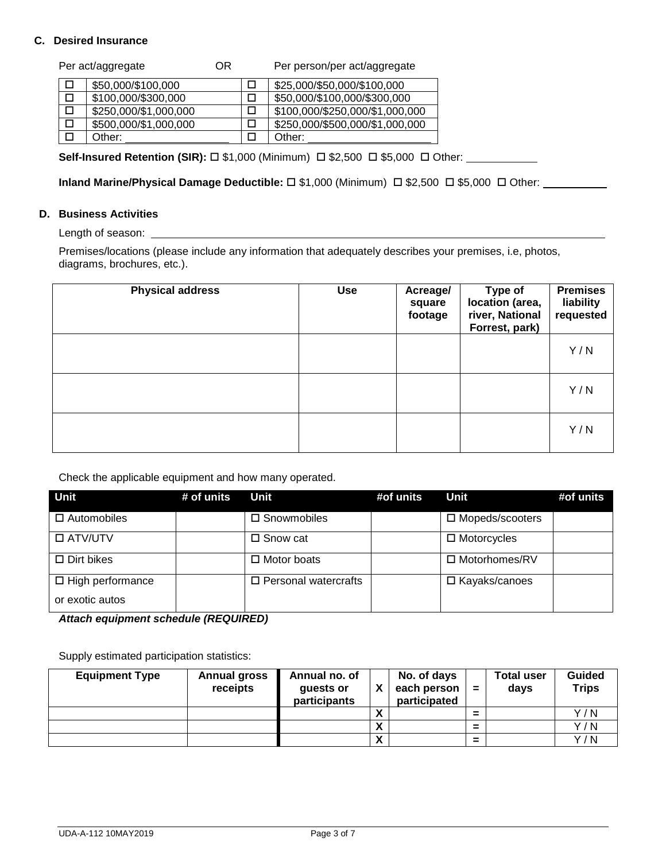### **C. Desired Insurance**

|   | Per act/aggregate     | ΟR | Per person/per act/aggregate    |
|---|-----------------------|----|---------------------------------|
|   | \$50,000/\$100,000    |    | \$25,000/\$50,000/\$100,000     |
| □ | \$100,000/\$300,000   |    | \$50,000/\$100,000/\$300,000    |
| □ | \$250,000/\$1,000,000 |    | \$100,000/\$250,000/\$1,000,000 |
| □ | \$500,000/\$1,000,000 |    | \$250,000/\$500,000/\$1,000,000 |
|   | Other:                |    | Other:                          |

**Self-Insured Retention (SIR):** □ \$1,000 (Minimum) □ \$2,500 □ \$5,000 □ Other:

**Inland Marine/Physical Damage Deductible:** □ \$1,000 (Minimum) □ \$2,500 □ \$5,000 □ Other:

### **D. Business Activities**

Length of season:

Premises/locations (please include any information that adequately describes your premises, i.e, photos, diagrams, brochures, etc.).

| <b>Physical address</b> | <b>Use</b> | Acreage/<br>square<br>footage | Type of<br>location (area,<br>river, National<br>Forrest, park) | <b>Premises</b><br>liability<br>requested |
|-------------------------|------------|-------------------------------|-----------------------------------------------------------------|-------------------------------------------|
|                         |            |                               |                                                                 | Y/N                                       |
|                         |            |                               |                                                                 | Y/N                                       |
|                         |            |                               |                                                                 | Y/N                                       |

Check the applicable equipment and how many operated.

| <b>Unit</b>             | # of units | Unit                           | #of units | Unit               | #of units |
|-------------------------|------------|--------------------------------|-----------|--------------------|-----------|
| $\Box$ Automobiles      |            | □ Snowmobiles                  |           | □ Mopeds/scooters  |           |
| □ ATV/UTV               |            | $\square$ Snow cat             |           | $\Box$ Motorcycles |           |
| $\Box$ Dirt bikes       |            | $\Box$ Motor boats             |           | □ Motorhomes/RV    |           |
| $\Box$ High performance |            | $\square$ Personal watercrafts |           | □ Kayaks/canoes    |           |
| or exotic autos         |            |                                |           |                    |           |

*Attach equipment schedule (REQUIRED)*

Supply estimated participation statistics:

| <b>Equipment Type</b> | <b>Annual gross</b><br>receipts | Annual no. of<br>guests or<br>participants |                            | No. of days<br>each person<br>participated | $=$ | <b>Total user</b><br>days | <b>Guided</b><br><b>Trips</b> |
|-----------------------|---------------------------------|--------------------------------------------|----------------------------|--------------------------------------------|-----|---------------------------|-------------------------------|
|                       |                                 |                                            | $\boldsymbol{\mathcal{L}}$ |                                            | =   |                           | Y/N                           |
|                       |                                 |                                            | Λ                          |                                            | =   |                           | Y/N                           |
|                       |                                 |                                            | $\mathbf{v}$<br>Λ          |                                            | =   |                           | Y/N                           |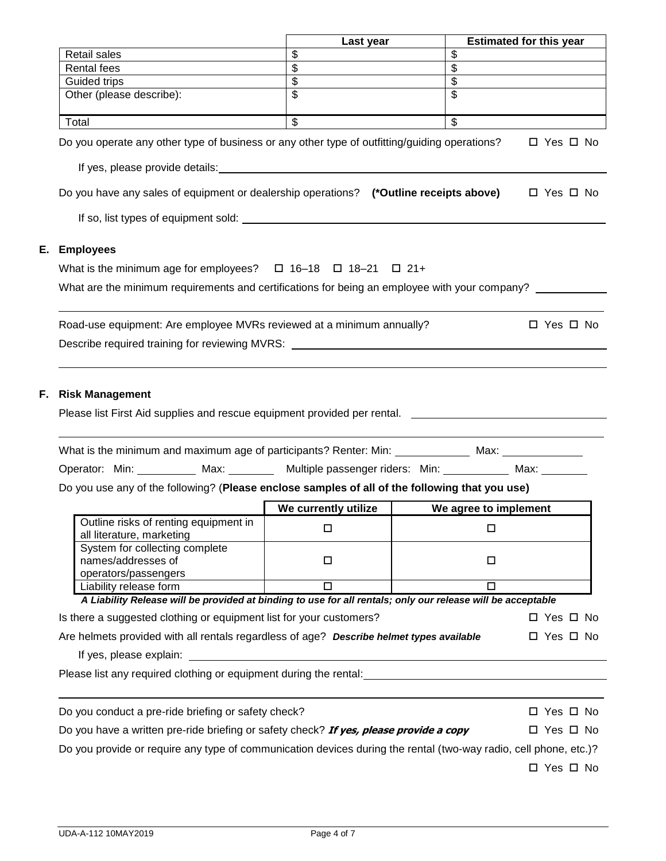|    |                                                                                                                                                                                                                                | Last year                                                                                                            |                                                      | <b>Estimated for this year</b> |
|----|--------------------------------------------------------------------------------------------------------------------------------------------------------------------------------------------------------------------------------|----------------------------------------------------------------------------------------------------------------------|------------------------------------------------------|--------------------------------|
|    | <b>Retail sales</b>                                                                                                                                                                                                            | \$                                                                                                                   | \$                                                   |                                |
|    | <b>Rental fees</b>                                                                                                                                                                                                             | \$                                                                                                                   | $\mathfrak{S}$                                       |                                |
|    | Guided trips<br>Other (please describe):                                                                                                                                                                                       | $\boldsymbol{\mathsf{S}}$                                                                                            | $\boldsymbol{\mathsf{S}}$<br>$\overline{\mathbf{s}}$ |                                |
|    |                                                                                                                                                                                                                                |                                                                                                                      |                                                      |                                |
|    | Total                                                                                                                                                                                                                          | $\overline{\mathcal{S}}$                                                                                             | $\overline{\mathcal{S}}$                             |                                |
|    | Do you operate any other type of business or any other type of outfitting/guiding operations?                                                                                                                                  |                                                                                                                      |                                                      | $\Box$ Yes $\Box$ No           |
|    | If yes, please provide details: Notice and the set of the set of the set of the set of the set of the set of the set of the set of the set of the set of the set of the set of the set of the set of the set of the set of the |                                                                                                                      |                                                      |                                |
|    | Do you have any sales of equipment or dealership operations? (*Outline receipts above)                                                                                                                                         |                                                                                                                      |                                                      | $\Box$ Yes $\Box$ No           |
|    |                                                                                                                                                                                                                                |                                                                                                                      |                                                      |                                |
| Е. | <b>Employees</b>                                                                                                                                                                                                               |                                                                                                                      |                                                      |                                |
|    | What is the minimum age for employees? $\Box$ 16-18 $\Box$ 18-21 $\Box$ 21+                                                                                                                                                    |                                                                                                                      |                                                      |                                |
|    | What are the minimum requirements and certifications for being an employee with your company?                                                                                                                                  |                                                                                                                      |                                                      |                                |
|    |                                                                                                                                                                                                                                |                                                                                                                      |                                                      |                                |
|    | Road-use equipment: Are employee MVRs reviewed at a minimum annually?                                                                                                                                                          |                                                                                                                      |                                                      | $\Box$ Yes $\Box$ No           |
|    |                                                                                                                                                                                                                                |                                                                                                                      |                                                      |                                |
|    | Describe required training for reviewing MVRS: _________________________________                                                                                                                                               |                                                                                                                      |                                                      |                                |
| F. | <b>Risk Management</b><br>Please list First Aid supplies and rescue equipment provided per rental.                                                                                                                             |                                                                                                                      |                                                      |                                |
|    | What is the minimum and maximum age of participants? Renter: Min: ______________ Max: _____________<br>Operator: Min: __________ Max: ________ Multiple passenger riders: Min: _________ Max: ________                         |                                                                                                                      |                                                      |                                |
|    | Do you use any of the following? (Please enclose samples of all of the following that you use)                                                                                                                                 |                                                                                                                      |                                                      |                                |
|    | Outline risks of renting equipment in<br>all literature, marketing                                                                                                                                                             | We currently utilize<br>$\Box$                                                                                       | We agree to implement<br>□                           |                                |
|    | System for collecting complete<br>names/addresses of                                                                                                                                                                           | $\Box$                                                                                                               | $\Box$                                               |                                |
|    | operators/passengers                                                                                                                                                                                                           |                                                                                                                      |                                                      |                                |
|    | Liability release form<br>A Liability Release will be provided at binding to use for all rentals; only our release will be acceptable                                                                                          | $\overline{\Box}$                                                                                                    | $\Box$                                               |                                |
|    | Is there a suggested clothing or equipment list for your customers?                                                                                                                                                            |                                                                                                                      |                                                      | $\Box$ Yes $\Box$ No           |
|    | Are helmets provided with all rentals regardless of age? Describe helmet types available                                                                                                                                       |                                                                                                                      |                                                      | □ Yes □ No                     |
|    | If yes, please explain:                                                                                                                                                                                                        |                                                                                                                      |                                                      |                                |
|    | Please list any required clothing or equipment during the rental: example and all the set of the set of the set of the set of the set of the set of the set of the set of the set of the set of the set of the set of the set  | <u> 1980 - Jan Samuel Barbara, martin da shekara 1980 - An tsara 1980 - An tsara 1980 - An tsara 1980 - An tsara</u> |                                                      |                                |
|    |                                                                                                                                                                                                                                |                                                                                                                      |                                                      |                                |
|    | Do you conduct a pre-ride briefing or safety check?                                                                                                                                                                            |                                                                                                                      |                                                      | □ Yes □ No                     |
|    | Do you have a written pre-ride briefing or safety check? If yes, please provide a copy                                                                                                                                         |                                                                                                                      |                                                      | □ Yes □ No                     |
|    | Do you provide or require any type of communication devices during the rental (two-way radio, cell phone, etc.)?                                                                                                               |                                                                                                                      |                                                      | $\Box$ Yes $\Box$ No           |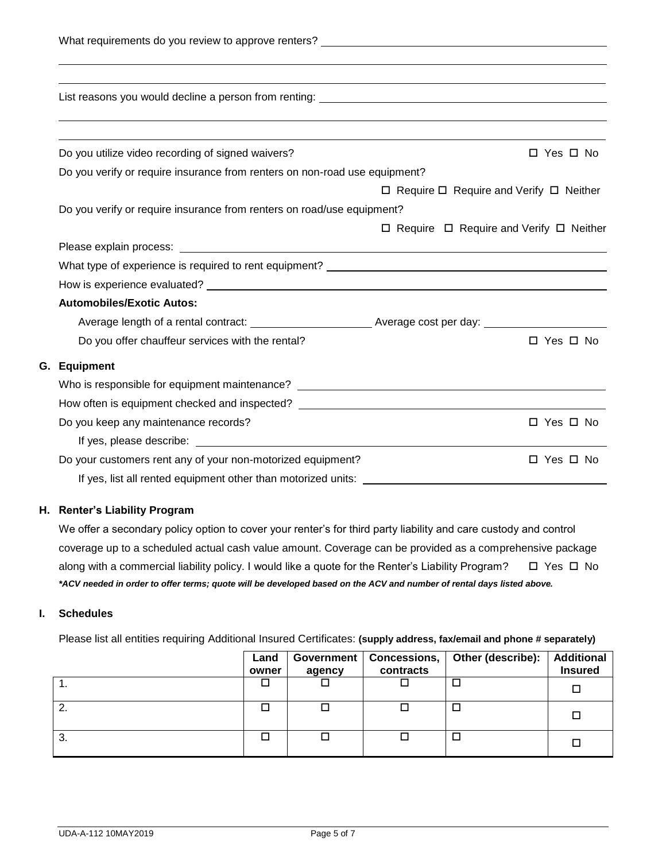| Do you utilize video recording of signed waivers?                                                                                     |                                                         | $\Box$ Yes $\Box$ No |
|---------------------------------------------------------------------------------------------------------------------------------------|---------------------------------------------------------|----------------------|
| Do you verify or require insurance from renters on non-road use equipment?                                                            |                                                         |                      |
|                                                                                                                                       | $\Box$ Require $\Box$ Require and Verify $\Box$ Neither |                      |
| Do you verify or require insurance from renters on road/use equipment?                                                                |                                                         |                      |
|                                                                                                                                       | $\Box$ Require $\Box$ Require and Verify $\Box$ Neither |                      |
|                                                                                                                                       |                                                         |                      |
| What type of experience is required to rent equipment? The material control of the state of experience is required to rent equipment? |                                                         |                      |
|                                                                                                                                       |                                                         |                      |
| <b>Automobiles/Exotic Autos:</b>                                                                                                      |                                                         |                      |
|                                                                                                                                       |                                                         |                      |
| Do you offer chauffeur services with the rental?                                                                                      |                                                         | □ Yes □ No           |
| G. Equipment                                                                                                                          |                                                         |                      |
| Who is responsible for equipment maintenance? ___________________________________                                                     |                                                         |                      |
| How often is equipment checked and inspected? __________________________________                                                      |                                                         |                      |
| Do you keep any maintenance records?                                                                                                  |                                                         | $\Box$ Yes $\Box$ No |
|                                                                                                                                       |                                                         |                      |
| Do your customers rent any of your non-motorized equipment?                                                                           |                                                         | $\Box$ Yes $\Box$ No |

If yes, list all rented equipment other than motorized units:

### **H. Renter's Liability Program**

We offer a secondary policy option to cover your renter's for third party liability and care custody and control coverage up to a scheduled actual cash value amount. Coverage can be provided as a comprehensive package along with a commercial liability policy. I would like a quote for the Renter's Liability Program?  $\Box$  Yes  $\Box$  No *\*ACV needed in order to offer terms; quote will be developed based on the ACV and number of rental days listed above.*

### **I. Schedules**

Please list all entities requiring Additional Insured Certificates: **(supply address, fax/email and phone # separately)**

|         | Land<br>owner | agency | Government   Concessions,<br>contracts | Other (describe): | <b>Additional</b><br><b>Insured</b> |
|---------|---------------|--------|----------------------------------------|-------------------|-------------------------------------|
| . .     |               |        |                                        |                   | □                                   |
| ົ<br>Z. |               |        |                                        |                   | □                                   |
| 3.      |               |        |                                        |                   |                                     |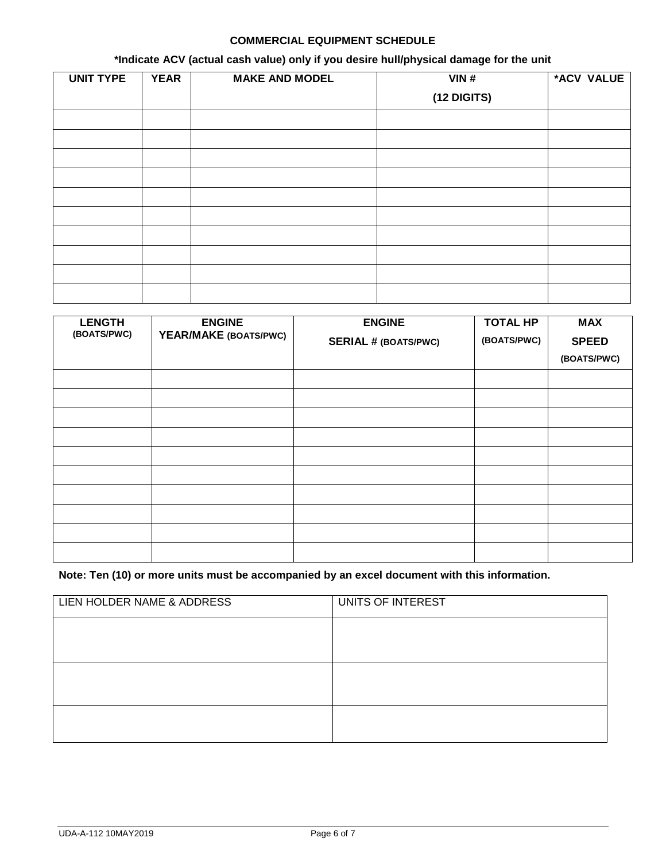## **COMMERCIAL EQUIPMENT SCHEDULE**

# **\*Indicate ACV (actual cash value) only if you desire hull/physical damage for the unit**

| <b>UNIT TYPE</b> | <b>YEAR</b> | <b>MAKE AND MODEL</b> | VIN#          | *ACV VALUE |
|------------------|-------------|-----------------------|---------------|------------|
|                  |             |                       | $(12$ DIGITS) |            |
|                  |             |                       |               |            |
|                  |             |                       |               |            |
|                  |             |                       |               |            |
|                  |             |                       |               |            |
|                  |             |                       |               |            |
|                  |             |                       |               |            |
|                  |             |                       |               |            |
|                  |             |                       |               |            |
|                  |             |                       |               |            |
|                  |             |                       |               |            |

| <b>LENGTH</b><br>(BOATS/PWC) | <b>ENGINE</b><br>YEAR/MAKE (BOATS/PWC) | <b>ENGINE</b>               | <b>TOTAL HP</b> | <b>MAX</b>   |
|------------------------------|----------------------------------------|-----------------------------|-----------------|--------------|
|                              |                                        | <b>SERIAL # (BOATS/PWC)</b> | (BOATS/PWC)     | <b>SPEED</b> |
|                              |                                        |                             |                 | (BOATS/PWC)  |
|                              |                                        |                             |                 |              |
|                              |                                        |                             |                 |              |
|                              |                                        |                             |                 |              |
|                              |                                        |                             |                 |              |
|                              |                                        |                             |                 |              |
|                              |                                        |                             |                 |              |
|                              |                                        |                             |                 |              |
|                              |                                        |                             |                 |              |
|                              |                                        |                             |                 |              |
|                              |                                        |                             |                 |              |

# **Note: Ten (10) or more units must be accompanied by an excel document with this information.**

| LIEN HOLDER NAME & ADDRESS | UNITS OF INTEREST |
|----------------------------|-------------------|
|                            |                   |
|                            |                   |
|                            |                   |
|                            |                   |
|                            |                   |
|                            |                   |